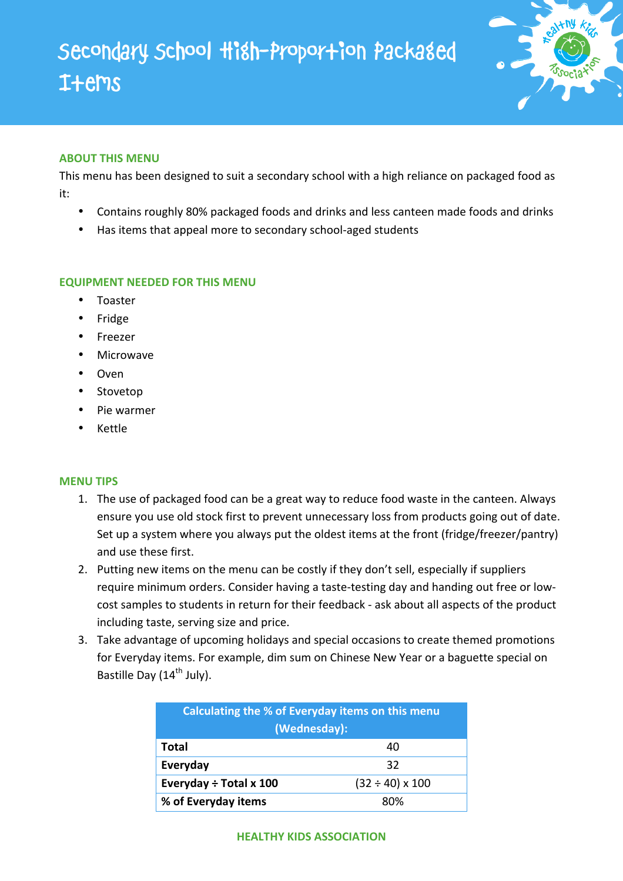

## **ABOUT THIS MENU**

This menu has been designed to suit a secondary school with a high reliance on packaged food as it:

- Contains roughly 80% packaged foods and drinks and less canteen made foods and drinks
- Has items that appeal more to secondary school-aged students

## **EQUIPMENT NEEDED FOR THIS MENU**

- Toaster
- Fridge
- Freezer
- Microwave
- Oven
- Stovetop
- Pie warmer
- Kettle

## **MENU TIPS**

- 1. The use of packaged food can be a great way to reduce food waste in the canteen. Always ensure you use old stock first to prevent unnecessary loss from products going out of date. Set up a system where you always put the oldest items at the front (fridge/freezer/pantry) and use these first.
- 2. Putting new items on the menu can be costly if they don't sell, especially if suppliers require minimum orders. Consider having a taste-testing day and handing out free or lowcost samples to students in return for their feedback - ask about all aspects of the product including taste, serving size and price.
- 3. Take advantage of upcoming holidays and special occasions to create themed promotions for Everyday items. For example, dim sum on Chinese New Year or a baguette special on Bastille Day  $(14^{th}$  July).

| Calculating the % of Everyday items on this menu<br>(Wednesday): |                           |  |
|------------------------------------------------------------------|---------------------------|--|
| Total                                                            | 40                        |  |
| Everyday                                                         | 32                        |  |
| Everyday ÷ Total x 100                                           | $(32 \div 40) \times 100$ |  |
| % of Everyday items                                              | ጸሀል                       |  |

## **HEALTHY KIDS ASSOCIATION**